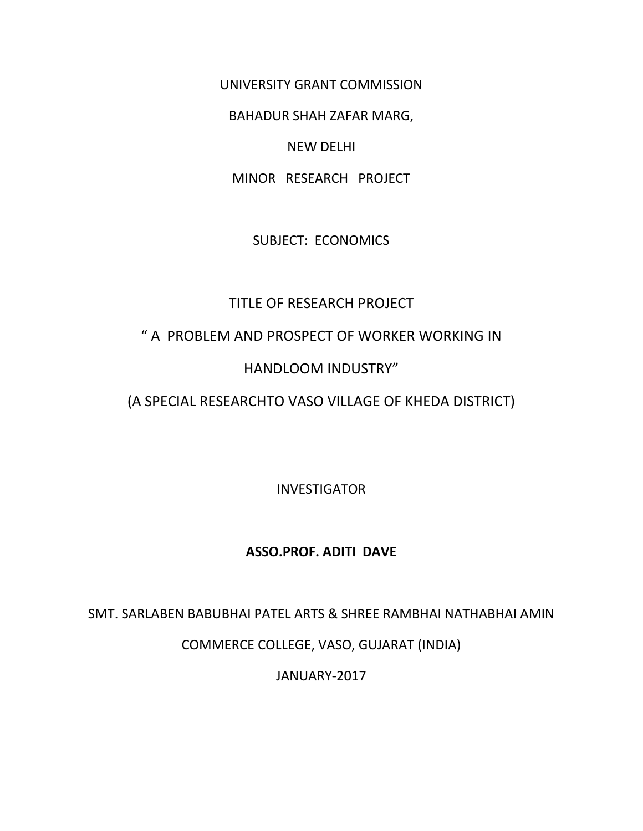UNIVERSITY GRANT COMMISSION

BAHADUR SHAH ZAFAR MARG,

#### NEW DELHI

MINOR RESEARCH PROJECT

SUBJECT: ECONOMICS

# TITLE OF RESEARCH PROJECT

# " A PROBLEM AND PROSPECT OF WORKER WORKING IN

# HANDLOOM INDUSTRY"

# (A SPECIAL RESEARCHTO VASO VILLAGE OF KHEDA DISTRICT)

INVESTIGATOR

### **ASSO.PROF. ADITI DAVE**

SMT. SARLABEN BABUBHAI PATEL ARTS & SHREE RAMBHAI NATHABHAI AMIN

COMMERCE COLLEGE, VASO, GUJARAT (INDIA)

JANUARY-2017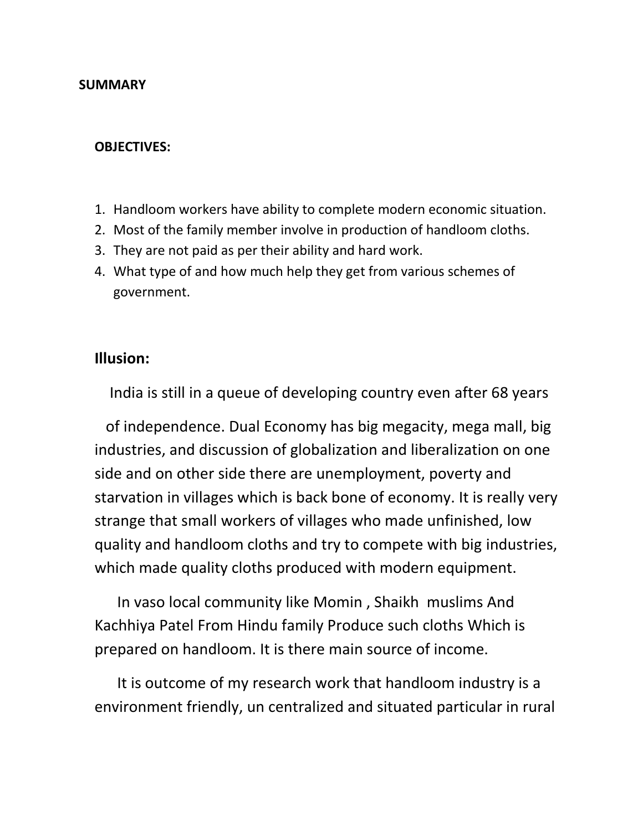#### **SUMMARY**

#### **OBJECTIVES:**

- 1. Handloom workers have ability to complete modern economic situation.
- 2. Most of the family member involve in production of handloom cloths.
- 3. They are not paid as per their ability and hard work.
- 4. What type of and how much help they get from various schemes of government.

#### **Illusion:**

India is still in a queue of developing country even after 68 years

 of independence. Dual Economy has big megacity, mega mall, big industries, and discussion of globalization and liberalization on one side and on other side there are unemployment, poverty and starvation in villages which is back bone of economy. It is really very strange that small workers of villages who made unfinished, low quality and handloom cloths and try to compete with big industries, which made quality cloths produced with modern equipment.

In vaso local community like Momin , Shaikh muslims And Kachhiya Patel From Hindu family Produce such cloths Which is prepared on handloom. It is there main source of income.

It is outcome of my research work that handloom industry is a environment friendly, un centralized and situated particular in rural